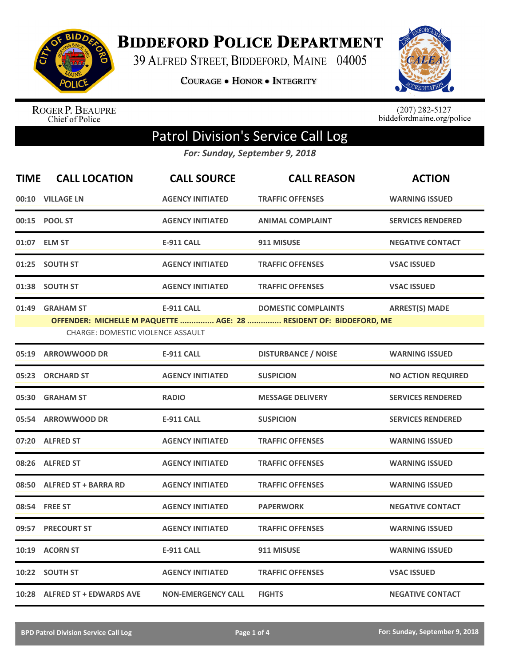

## **BIDDEFORD POLICE DEPARTMENT**

39 ALFRED STREET, BIDDEFORD, MAINE 04005

**COURAGE . HONOR . INTEGRITY** 



ROGER P. BEAUPRE<br>Chief of Police

 $(207)$  282-5127<br>biddefordmaine.org/police

## Patrol Division's Service Call Log

*For: Sunday, September 9, 2018*

| <b>TIME</b> | <b>CALL LOCATION</b>                                        | <b>CALL SOURCE</b>        | <b>CALL REASON</b>                                                                               | <b>ACTION</b>             |
|-------------|-------------------------------------------------------------|---------------------------|--------------------------------------------------------------------------------------------------|---------------------------|
|             | 00:10 VILLAGE LN                                            | <b>AGENCY INITIATED</b>   | <b>TRAFFIC OFFENSES</b>                                                                          | <b>WARNING ISSUED</b>     |
|             | 00:15 POOL ST                                               | <b>AGENCY INITIATED</b>   | <b>ANIMAL COMPLAINT</b>                                                                          | <b>SERVICES RENDERED</b>  |
|             | 01:07 ELM ST                                                | <b>E-911 CALL</b>         | 911 MISUSE                                                                                       | <b>NEGATIVE CONTACT</b>   |
| 01:25       | <b>SOUTH ST</b>                                             | <b>AGENCY INITIATED</b>   | <b>TRAFFIC OFFENSES</b>                                                                          | <b>VSAC ISSUED</b>        |
| 01:38       | <b>SOUTH ST</b>                                             | <b>AGENCY INITIATED</b>   | <b>TRAFFIC OFFENSES</b>                                                                          | <b>VSAC ISSUED</b>        |
|             | 01:49 GRAHAM ST<br><b>CHARGE: DOMESTIC VIOLENCE ASSAULT</b> | <b>E-911 CALL</b>         | <b>DOMESTIC COMPLAINTS</b><br>OFFENDER: MICHELLE M PAQUETTE  AGE: 28  RESIDENT OF: BIDDEFORD, ME | <b>ARREST(S) MADE</b>     |
| 05:19       | <b>ARROWWOOD DR</b>                                         | <b>E-911 CALL</b>         | <b>DISTURBANCE / NOISE</b>                                                                       | <b>WARNING ISSUED</b>     |
| 05:23       | <b>ORCHARD ST</b>                                           | <b>AGENCY INITIATED</b>   | <b>SUSPICION</b>                                                                                 | <b>NO ACTION REQUIRED</b> |
| 05:30       | <b>GRAHAM ST</b>                                            | <b>RADIO</b>              | <b>MESSAGE DELIVERY</b>                                                                          | <b>SERVICES RENDERED</b>  |
| 05:54       | <b>ARROWWOOD DR</b>                                         | <b>E-911 CALL</b>         | <b>SUSPICION</b>                                                                                 | <b>SERVICES RENDERED</b>  |
|             | 07:20 ALFRED ST                                             | <b>AGENCY INITIATED</b>   | <b>TRAFFIC OFFENSES</b>                                                                          | <b>WARNING ISSUED</b>     |
|             | 08:26 ALFRED ST                                             | <b>AGENCY INITIATED</b>   | <b>TRAFFIC OFFENSES</b>                                                                          | <b>WARNING ISSUED</b>     |
|             | 08:50 ALFRED ST + BARRA RD                                  | <b>AGENCY INITIATED</b>   | <b>TRAFFIC OFFENSES</b>                                                                          | <b>WARNING ISSUED</b>     |
|             | 08:54 FREE ST                                               | <b>AGENCY INITIATED</b>   | <b>PAPERWORK</b>                                                                                 | <b>NEGATIVE CONTACT</b>   |
| 09:57       | <b>PRECOURT ST</b>                                          | <b>AGENCY INITIATED</b>   | <b>TRAFFIC OFFENSES</b>                                                                          | <b>WARNING ISSUED</b>     |
|             | 10:19 ACORN ST                                              | <b>E-911 CALL</b>         | 911 MISUSE                                                                                       | <b>WARNING ISSUED</b>     |
| 10:22       | <b>SOUTH ST</b>                                             | <b>AGENCY INITIATED</b>   | <b>TRAFFIC OFFENSES</b>                                                                          | <b>VSAC ISSUED</b>        |
|             | 10:28 ALFRED ST + EDWARDS AVE                               | <b>NON-EMERGENCY CALL</b> | <b>FIGHTS</b>                                                                                    | <b>NEGATIVE CONTACT</b>   |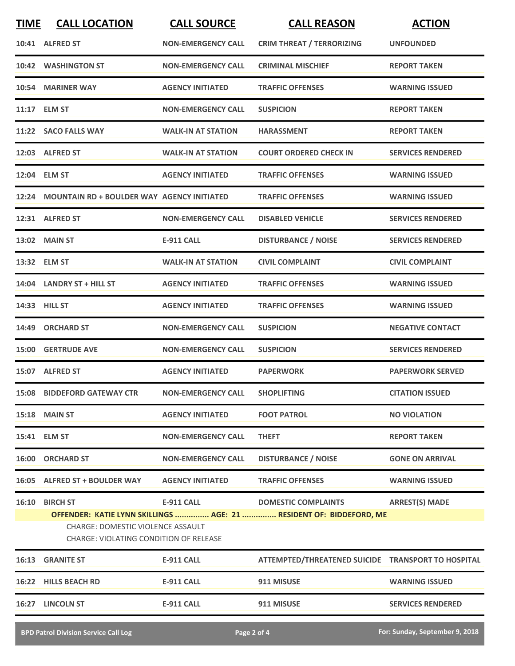| <b>TIME</b> | <b>CALL LOCATION</b>                                                        | <b>CALL SOURCE</b>        | <b>CALL REASON</b>                                                  | <b>ACTION</b>            |
|-------------|-----------------------------------------------------------------------------|---------------------------|---------------------------------------------------------------------|--------------------------|
|             | 10:41 ALFRED ST                                                             | <b>NON-EMERGENCY CALL</b> | <b>CRIM THREAT / TERRORIZING</b>                                    | <b>UNFOUNDED</b>         |
| 10:42       | <b>WASHINGTON ST</b>                                                        | <b>NON-EMERGENCY CALL</b> | <b>CRIMINAL MISCHIEF</b>                                            | <b>REPORT TAKEN</b>      |
|             | 10:54 MARINER WAY                                                           | <b>AGENCY INITIATED</b>   | <b>TRAFFIC OFFENSES</b>                                             | <b>WARNING ISSUED</b>    |
|             | 11:17 ELM ST                                                                | <b>NON-EMERGENCY CALL</b> | <b>SUSPICION</b>                                                    | <b>REPORT TAKEN</b>      |
|             | 11:22 SACO FALLS WAY                                                        | <b>WALK-IN AT STATION</b> | <b>HARASSMENT</b>                                                   | <b>REPORT TAKEN</b>      |
|             | 12:03 ALFRED ST                                                             | <b>WALK-IN AT STATION</b> | <b>COURT ORDERED CHECK IN</b>                                       | <b>SERVICES RENDERED</b> |
|             | 12:04 ELM ST                                                                | <b>AGENCY INITIATED</b>   | <b>TRAFFIC OFFENSES</b>                                             | <b>WARNING ISSUED</b>    |
| 12:24       | <b>MOUNTAIN RD + BOULDER WAY AGENCY INITIATED</b>                           |                           | <b>TRAFFIC OFFENSES</b>                                             | <b>WARNING ISSUED</b>    |
|             | 12:31 ALFRED ST                                                             | <b>NON-EMERGENCY CALL</b> | <b>DISABLED VEHICLE</b>                                             | <b>SERVICES RENDERED</b> |
|             | <b>13:02 MAIN ST</b>                                                        | <b>E-911 CALL</b>         | <b>DISTURBANCE / NOISE</b>                                          | <b>SERVICES RENDERED</b> |
|             | 13:32 ELM ST                                                                | <b>WALK-IN AT STATION</b> | <b>CIVIL COMPLAINT</b>                                              | <b>CIVIL COMPLAINT</b>   |
|             | 14:04 LANDRY ST + HILL ST                                                   | <b>AGENCY INITIATED</b>   | <b>TRAFFIC OFFENSES</b>                                             | <b>WARNING ISSUED</b>    |
|             | 14:33 HILL ST                                                               | <b>AGENCY INITIATED</b>   | <b>TRAFFIC OFFENSES</b>                                             | <b>WARNING ISSUED</b>    |
| 14:49       | <b>ORCHARD ST</b>                                                           | <b>NON-EMERGENCY CALL</b> | <b>SUSPICION</b>                                                    | <b>NEGATIVE CONTACT</b>  |
|             | <b>15:00 GERTRUDE AVE</b>                                                   | <b>NON-EMERGENCY CALL</b> | <b>SUSPICION</b>                                                    | <b>SERVICES RENDERED</b> |
|             | 15:07 ALFRED ST                                                             | <b>AGENCY INITIATED</b>   | <b>PAPERWORK</b>                                                    | <b>PAPERWORK SERVED</b>  |
|             | 15:08 BIDDEFORD GATEWAY CTR                                                 | <b>NON-EMERGENCY CALL</b> | <b>SHOPLIFTING</b>                                                  | <b>CITATION ISSUED</b>   |
|             | <b>15:18 MAIN ST</b>                                                        | <b>AGENCY INITIATED</b>   | <b>FOOT PATROL</b>                                                  | <b>NO VIOLATION</b>      |
|             | 15:41 ELM ST                                                                | <b>NON-EMERGENCY CALL</b> | <b>THEFT</b>                                                        | <b>REPORT TAKEN</b>      |
|             | 16:00 ORCHARD ST                                                            | <b>NON-EMERGENCY CALL</b> | <b>DISTURBANCE / NOISE</b>                                          | <b>GONE ON ARRIVAL</b>   |
|             | 16:05 ALFRED ST + BOULDER WAY                                               | <b>AGENCY INITIATED</b>   | <b>TRAFFIC OFFENSES</b>                                             | <b>WARNING ISSUED</b>    |
|             | 16:10 BIRCH ST                                                              | <b>E-911 CALL</b>         | <b>DOMESTIC COMPLAINTS</b>                                          | <b>ARREST(S) MADE</b>    |
|             | CHARGE: DOMESTIC VIOLENCE ASSAULT<br>CHARGE: VIOLATING CONDITION OF RELEASE |                           | OFFENDER: KATIE LYNN SKILLINGS  AGE: 21  RESIDENT OF: BIDDEFORD, ME |                          |
| 16:13       | <b>GRANITE ST</b>                                                           | <b>E-911 CALL</b>         | ATTEMPTED/THREATENED SUICIDE TRANSPORT TO HOSPITAL                  |                          |
|             | 16:22 HILLS BEACH RD                                                        | E-911 CALL                | 911 MISUSE                                                          | <b>WARNING ISSUED</b>    |
|             | 16:27 LINCOLN ST                                                            | E-911 CALL                | 911 MISUSE                                                          | <b>SERVICES RENDERED</b> |
|             |                                                                             |                           |                                                                     |                          |

**BPD Patrol Division Service Call Log Page 2 of 4 For: Sunday, September 9, 2018**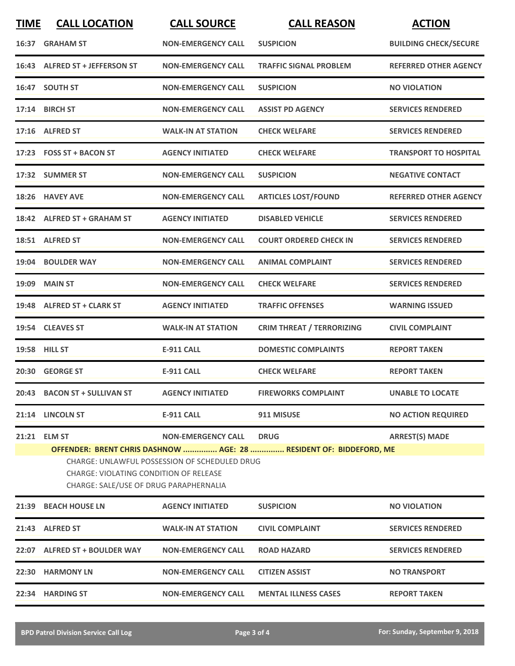| <b>TIME</b> | <b>CALL LOCATION</b>                                                                                    | <b>CALL SOURCE</b>                                                                | <b>CALL REASON</b>                                                                | <b>ACTION</b>                |
|-------------|---------------------------------------------------------------------------------------------------------|-----------------------------------------------------------------------------------|-----------------------------------------------------------------------------------|------------------------------|
|             | 16:37 GRAHAM ST                                                                                         | <b>NON-EMERGENCY CALL</b>                                                         | <b>SUSPICION</b>                                                                  | <b>BUILDING CHECK/SECURE</b> |
|             | 16:43 ALFRED ST + JEFFERSON ST                                                                          | <b>NON-EMERGENCY CALL</b>                                                         | <b>TRAFFIC SIGNAL PROBLEM</b>                                                     | <b>REFERRED OTHER AGENCY</b> |
|             | 16:47 SOUTH ST                                                                                          | <b>NON-EMERGENCY CALL</b>                                                         | <b>SUSPICION</b>                                                                  | <b>NO VIOLATION</b>          |
|             | 17:14 BIRCH ST                                                                                          | <b>NON-EMERGENCY CALL</b>                                                         | <b>ASSIST PD AGENCY</b>                                                           | <b>SERVICES RENDERED</b>     |
|             | 17:16 ALFRED ST                                                                                         | <b>WALK-IN AT STATION</b>                                                         | <b>CHECK WELFARE</b>                                                              | <b>SERVICES RENDERED</b>     |
|             | 17:23 FOSS ST + BACON ST                                                                                | <b>AGENCY INITIATED</b>                                                           | <b>CHECK WELFARE</b>                                                              | <b>TRANSPORT TO HOSPITAL</b> |
|             | 17:32 SUMMER ST                                                                                         | <b>NON-EMERGENCY CALL</b>                                                         | <b>SUSPICION</b>                                                                  | <b>NEGATIVE CONTACT</b>      |
|             | 18:26 HAVEY AVE                                                                                         | <b>NON-EMERGENCY CALL</b>                                                         | <b>ARTICLES LOST/FOUND</b>                                                        | <b>REFERRED OTHER AGENCY</b> |
|             | 18:42 ALFRED ST + GRAHAM ST                                                                             | <b>AGENCY INITIATED</b>                                                           | <b>DISABLED VEHICLE</b>                                                           | <b>SERVICES RENDERED</b>     |
|             | 18:51 ALFRED ST                                                                                         | <b>NON-EMERGENCY CALL</b>                                                         | <b>COURT ORDERED CHECK IN</b>                                                     | <b>SERVICES RENDERED</b>     |
|             | 19:04 BOULDER WAY                                                                                       | <b>NON-EMERGENCY CALL</b>                                                         | <b>ANIMAL COMPLAINT</b>                                                           | <b>SERVICES RENDERED</b>     |
|             | <b>19:09 MAIN ST</b>                                                                                    | <b>NON-EMERGENCY CALL</b>                                                         | <b>CHECK WELFARE</b>                                                              | <b>SERVICES RENDERED</b>     |
|             | 19:48 ALFRED ST + CLARK ST                                                                              | <b>AGENCY INITIATED</b>                                                           | <b>TRAFFIC OFFENSES</b>                                                           | <b>WARNING ISSUED</b>        |
|             | 19:54 CLEAVES ST                                                                                        | <b>WALK-IN AT STATION</b>                                                         | <b>CRIM THREAT / TERRORIZING</b>                                                  | <b>CIVIL COMPLAINT</b>       |
|             | 19:58 HILL ST                                                                                           | <b>E-911 CALL</b>                                                                 | <b>DOMESTIC COMPLAINTS</b>                                                        | <b>REPORT TAKEN</b>          |
|             | 20:30 GEORGE ST                                                                                         | E-911 CALL                                                                        | <b>CHECK WELFARE</b>                                                              | <b>REPORT TAKEN</b>          |
|             | 20:43 BACON ST + SULLIVAN ST                                                                            | <b>AGENCY INITIATED</b>                                                           | <b>FIREWORKS COMPLAINT</b>                                                        | <b>UNABLE TO LOCATE</b>      |
|             | 21:14 LINCOLN ST                                                                                        | <b>E-911 CALL</b>                                                                 | 911 MISUSE                                                                        | <b>NO ACTION REQUIRED</b>    |
|             | 21:21 ELM ST<br><b>CHARGE: VIOLATING CONDITION OF RELEASE</b><br>CHARGE: SALE/USE OF DRUG PARAPHERNALIA | <b>NON-EMERGENCY CALL</b><br><b>CHARGE: UNLAWFUL POSSESSION OF SCHEDULED DRUG</b> | <b>DRUG</b><br>OFFENDER: BRENT CHRIS DASHNOW  AGE: 28  RESIDENT OF: BIDDEFORD, ME | <b>ARREST(S) MADE</b>        |
|             | 21:39 BEACH HOUSE LN                                                                                    | <b>AGENCY INITIATED</b>                                                           | <b>SUSPICION</b>                                                                  | <b>NO VIOLATION</b>          |
|             | 21:43 ALFRED ST                                                                                         | <b>WALK-IN AT STATION</b>                                                         | <b>CIVIL COMPLAINT</b>                                                            | <b>SERVICES RENDERED</b>     |
|             | 22:07 ALFRED ST + BOULDER WAY                                                                           | <b>NON-EMERGENCY CALL</b>                                                         | <b>ROAD HAZARD</b>                                                                | <b>SERVICES RENDERED</b>     |
|             | 22:30 HARMONY LN                                                                                        | <b>NON-EMERGENCY CALL</b>                                                         | <b>CITIZEN ASSIST</b>                                                             | <b>NO TRANSPORT</b>          |
|             | 22:34 HARDING ST                                                                                        | <b>NON-EMERGENCY CALL</b>                                                         | <b>MENTAL ILLNESS CASES</b>                                                       | <b>REPORT TAKEN</b>          |